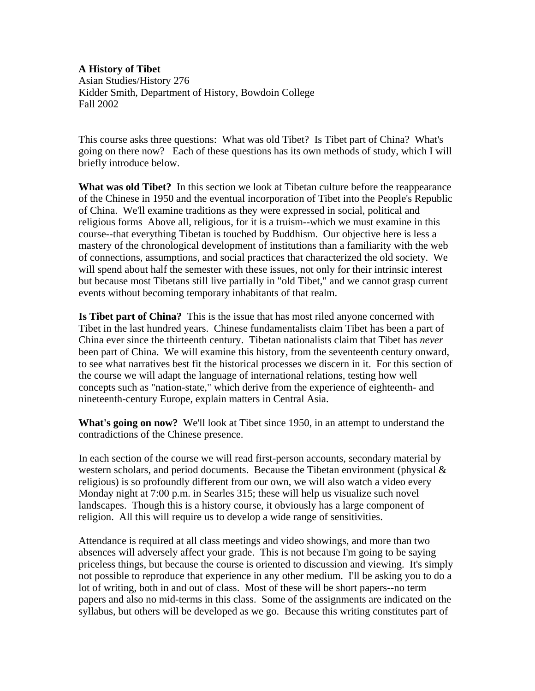**A History of Tibet**  Asian Studies/History 276 Kidder Smith, Department of History, Bowdoin College Fall 2002

This course asks three questions: What was old Tibet? Is Tibet part of China? What's going on there now? Each of these questions has its own methods of study, which I will briefly introduce below.

**What was old Tibet?** In this section we look at Tibetan culture before the reappearance of the Chinese in 1950 and the eventual incorporation of Tibet into the People's Republic of China. We'll examine traditions as they were expressed in social, political and religious forms Above all, religious, for it is a truism--which we must examine in this course--that everything Tibetan is touched by Buddhism. Our objective here is less a mastery of the chronological development of institutions than a familiarity with the web of connections, assumptions, and social practices that characterized the old society. We will spend about half the semester with these issues, not only for their intrinsic interest but because most Tibetans still live partially in "old Tibet," and we cannot grasp current events without becoming temporary inhabitants of that realm.

**Is Tibet part of China?** This is the issue that has most riled anyone concerned with Tibet in the last hundred years. Chinese fundamentalists claim Tibet has been a part of China ever since the thirteenth century. Tibetan nationalists claim that Tibet has *never* been part of China. We will examine this history, from the seventeenth century onward, to see what narratives best fit the historical processes we discern in it. For this section of the course we will adapt the language of international relations, testing how well concepts such as "nation-state," which derive from the experience of eighteenth- and nineteenth-century Europe, explain matters in Central Asia.

**What's going on now?** We'll look at Tibet since 1950, in an attempt to understand the contradictions of the Chinese presence.

In each section of the course we will read first-person accounts, secondary material by western scholars, and period documents. Because the Tibetan environment (physical & religious) is so profoundly different from our own, we will also watch a video every Monday night at 7:00 p.m. in Searles 315; these will help us visualize such novel landscapes. Though this is a history course, it obviously has a large component of religion. All this will require us to develop a wide range of sensitivities.

Attendance is required at all class meetings and video showings, and more than two absences will adversely affect your grade. This is not because I'm going to be saying priceless things, but because the course is oriented to discussion and viewing. It's simply not possible to reproduce that experience in any other medium. I'll be asking you to do a lot of writing, both in and out of class. Most of these will be short papers--no term papers and also no mid-terms in this class. Some of the assignments are indicated on the syllabus, but others will be developed as we go. Because this writing constitutes part of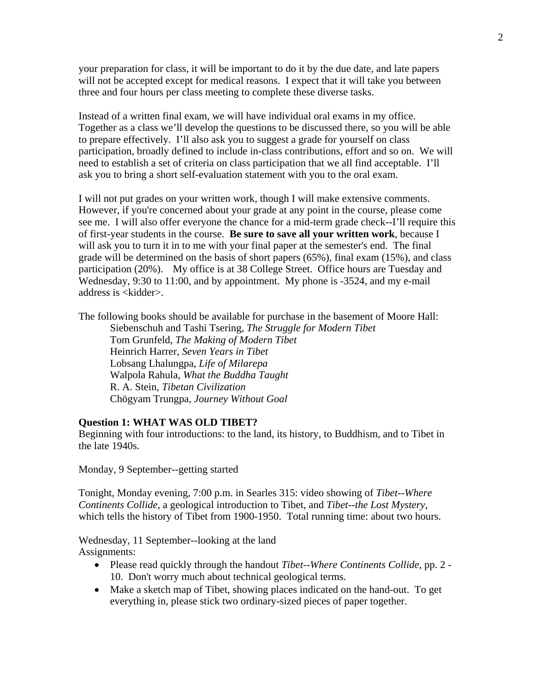your preparation for class, it will be important to do it by the due date, and late papers will not be accepted except for medical reasons. I expect that it will take you between three and four hours per class meeting to complete these diverse tasks.

Instead of a written final exam, we will have individual oral exams in my office. Together as a class we'll develop the questions to be discussed there, so you will be able to prepare effectively. I'll also ask you to suggest a grade for yourself on class participation, broadly defined to include in-class contributions, effort and so on. We will need to establish a set of criteria on class participation that we all find acceptable. I'll ask you to bring a short self-evaluation statement with you to the oral exam.

I will not put grades on your written work, though I will make extensive comments. However, if you're concerned about your grade at any point in the course, please come see me. I will also offer everyone the chance for a mid-term grade check--I'll require this of first-year students in the course. **Be sure to save all your written work**, because I will ask you to turn it in to me with your final paper at the semester's end. The final grade will be determined on the basis of short papers (65%), final exam (15%), and class participation (20%). My office is at 38 College Street. Office hours are Tuesday and Wednesday, 9:30 to 11:00, and by appointment. My phone is -3524, and my e-mail address is <kidder>.

The following books should be available for purchase in the basement of Moore Hall: Siebenschuh and Tashi Tsering, *The Struggle for Modern Tibet*

Tom Grunfeld, *The Making of Modern Tibet* Heinrich Harrer, *Seven Years in Tibet*  Lobsang Lhalungpa, *Life of Milarepa*  Walpola Rahula, *What the Buddha Taught* R. A. Stein, *Tibetan Civilization* Chögyam Trungpa, *Journey Without Goal*

## **Question 1: WHAT WAS OLD TIBET?**

Beginning with four introductions: to the land, its history, to Buddhism, and to Tibet in the late 1940s.

Monday, 9 September--getting started

Tonight, Monday evening, 7:00 p.m. in Searles 315: video showing of *Tibet--Where Continents Collide*, a geological introduction to Tibet, and *Tibet--the Lost Mystery*, which tells the history of Tibet from 1900-1950. Total running time: about two hours.

Wednesday, 11 September--looking at the land Assignments:

- Please read quickly through the handout *Tibet--Where Continents Collide*, pp. 2 10. Don't worry much about technical geological terms.
- Make a sketch map of Tibet, showing places indicated on the hand-out. To get everything in, please stick two ordinary-sized pieces of paper together.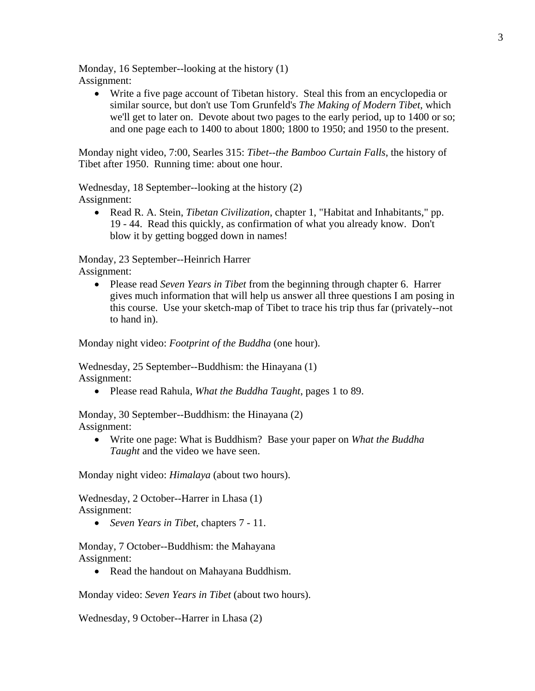Monday, 16 September--looking at the history (1) Assignment:

• Write a five page account of Tibetan history. Steal this from an encyclopedia or similar source, but don't use Tom Grunfeld's *The Making of Modern Tibet*, which we'll get to later on. Devote about two pages to the early period, up to 1400 or so; and one page each to 1400 to about 1800; 1800 to 1950; and 1950 to the present.

Monday night video, 7:00, Searles 315: *Tibet--the Bamboo Curtain Falls*, the history of Tibet after 1950. Running time: about one hour.

Wednesday, 18 September--looking at the history (2) Assignment:

• Read R. A. Stein, *Tibetan Civilization*, chapter 1, "Habitat and Inhabitants," pp. 19 - 44. Read this quickly, as confirmation of what you already know. Don't blow it by getting bogged down in names!

Monday, 23 September--Heinrich Harrer Assignment:

• Please read *Seven Years in Tibet* from the beginning through chapter 6. Harrer gives much information that will help us answer all three questions I am posing in this course. Use your sketch-map of Tibet to trace his trip thus far (privately--not to hand in).

Monday night video: *Footprint of the Buddha* (one hour).

Wednesday, 25 September--Buddhism: the Hinayana (1) Assignment:

• Please read Rahula, *What the Buddha Taught*, pages 1 to 89.

Monday, 30 September--Buddhism: the Hinayana (2) Assignment:

• Write one page: What is Buddhism? Base your paper on *What the Buddha Taught* and the video we have seen.

Monday night video: *Himalaya* (about two hours).

Wednesday, 2 October--Harrer in Lhasa (1) Assignment:

• *Seven Years in Tibet*, chapters 7 - 11.

Monday, 7 October--Buddhism: the Mahayana Assignment:

• Read the handout on Mahayana Buddhism.

Monday video: *Seven Years in Tibet* (about two hours).

Wednesday, 9 October--Harrer in Lhasa (2)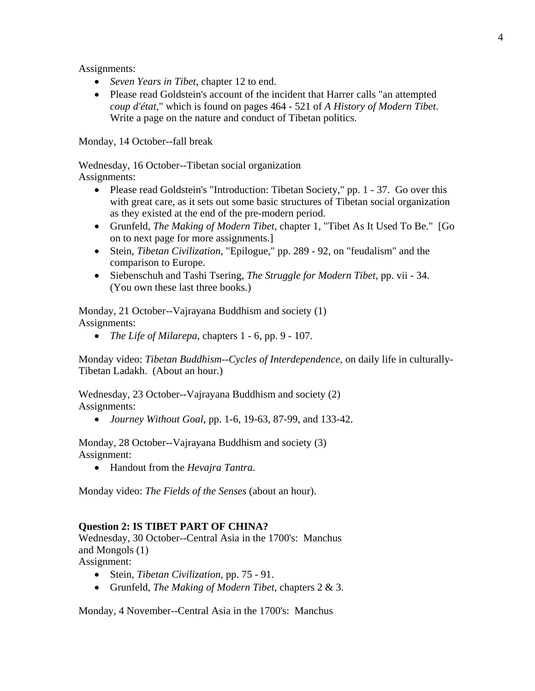Assignments:

- *Seven Years in Tibet*, chapter 12 to end.
- Please read Goldstein's account of the incident that Harrer calls "an attempted" *coup d'état*," which is found on pages 464 - 521 of *A History of Modern Tibet*. Write a page on the nature and conduct of Tibetan politics.

Monday, 14 October--fall break

Wednesday, 16 October--Tibetan social organization

Assignments:

- Please read Goldstein's "Introduction: Tibetan Society," pp. 1 37. Go over this with great care, as it sets out some basic structures of Tibetan social organization as they existed at the end of the pre-modern period.
- Grunfeld, *The Making of Modern Tibet*, chapter 1, "Tibet As It Used To Be." [Go on to next page for more assignments.]
- Stein, *Tibetan Civilization*, "Epilogue," pp. 289 92, on "feudalism" and the comparison to Europe.
- Siebenschuh and Tashi Tsering, *The Struggle for Modern Tibet*, pp. vii 34. (You own these last three books.)

Monday, 21 October--Vajrayana Buddhism and society (1) Assignments:

• *The Life of Milarepa*, chapters 1 - 6, pp. 9 - 107.

Monday video: *Tibetan Buddhism--Cycles of Interdependence*, on daily life in culturally-Tibetan Ladakh. (About an hour.)

Wednesday, 23 October--Vajrayana Buddhism and society (2) Assignments:

• *Journey Without Goal*, pp. 1-6, 19-63, 87-99, and 133-42.

Monday, 28 October--Vajrayana Buddhism and society (3) Assignment:

• Handout from the *Hevajra Tantra*.

Monday video: *The Fields of the Senses* (about an hour).

## **Question 2: IS TIBET PART OF CHINA?**

Wednesday, 30 October--Central Asia in the 1700's: Manchus and Mongols (1)

Assignment:

- Stein, *Tibetan Civilization*, pp. 75 91.
- Grunfeld, *The Making of Modern Tibet*, chapters 2 & 3.

Monday, 4 November--Central Asia in the 1700's: Manchus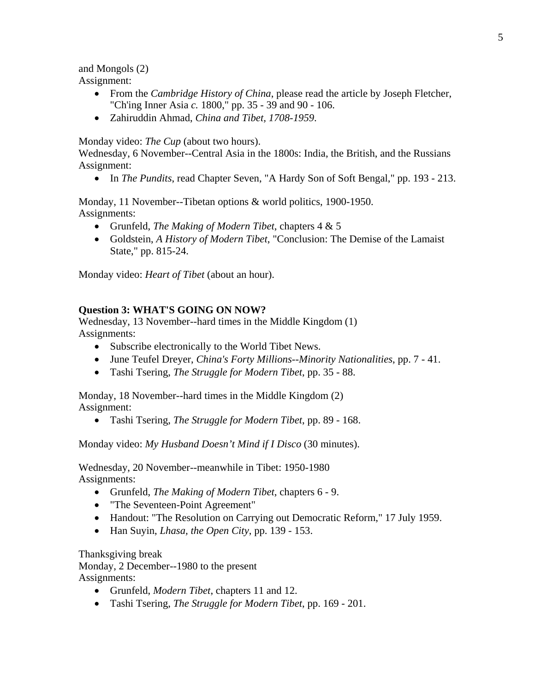and Mongols (2) Assignment:

- From the *Cambridge History of China*, please read the article by Joseph Fletcher, "Ch'ing Inner Asia *c.* 1800," pp. 35 - 39 and 90 - 106.
- Zahiruddin Ahmad, *China and Tibet, 1708-1959*.

Monday video: *The Cup* (about two hours).

Wednesday, 6 November--Central Asia in the 1800s: India, the British, and the Russians Assignment:

• In *The Pundits*, read Chapter Seven, "A Hardy Son of Soft Bengal," pp. 193 - 213.

Monday, 11 November--Tibetan options & world politics, 1900-1950. Assignments:

- Grunfeld, *The Making of Modern Tibet*, chapters 4 & 5
- Goldstein, *A History of Modern Tibet*, "Conclusion: The Demise of the Lamaist State," pp. 815-24.

Monday video: *Heart of Tibet* (about an hour).

## **Question 3: WHAT'S GOING ON NOW?**

Wednesday, 13 November--hard times in the Middle Kingdom (1) Assignments:

- Subscribe electronically to the World Tibet News.
- June Teufel Dreyer, *China's Forty Millions--Minority Nationalities*, pp. 7 41.
- Tashi Tsering, *The Struggle for Modern Tibet*, pp. 35 88.

Monday, 18 November--hard times in the Middle Kingdom (2) Assignment:

• Tashi Tsering, *The Struggle for Modern Tibet*, pp. 89 - 168.

Monday video: *My Husband Doesn't Mind if I Disco* (30 minutes).

Wednesday, 20 November--meanwhile in Tibet: 1950-1980 Assignments:

- Grunfeld, *The Making of Modern Tibet*, chapters 6 9.
- "The Seventeen-Point Agreement"
- Handout: "The Resolution on Carrying out Democratic Reform," 17 July 1959.
- Han Suyin, *Lhasa, the Open City*, pp. 139 153.

Thanksgiving break

Monday, 2 December--1980 to the present

Assignments:

- Grunfeld, *Modern Tibet*, chapters 11 and 12.
- Tashi Tsering, *The Struggle for Modern Tibet*, pp. 169 201.